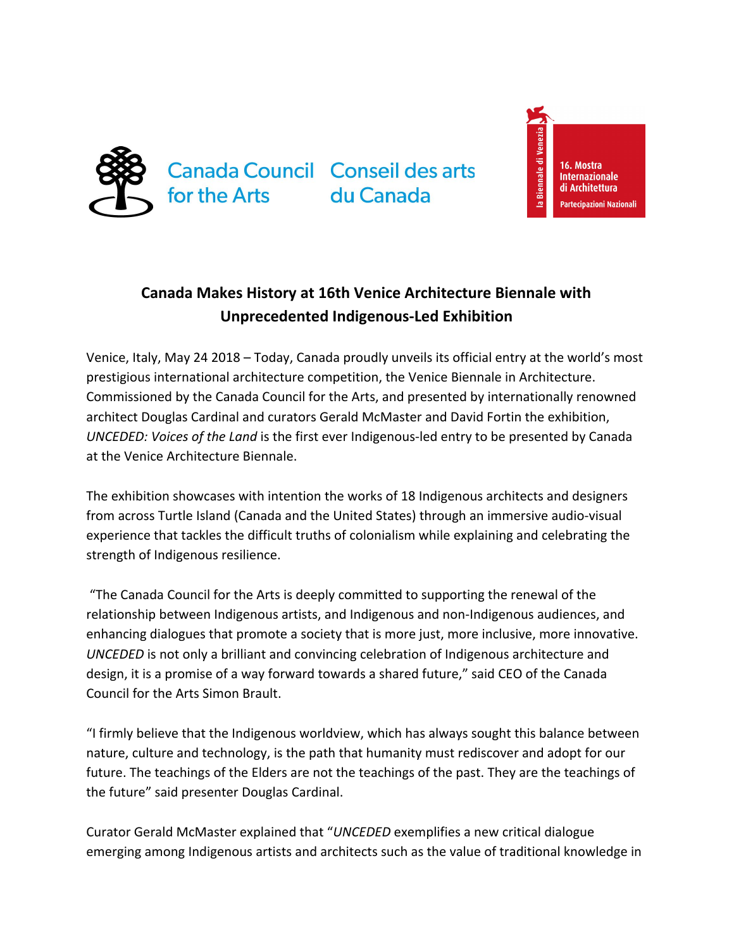

du Canada

a Biennale di Venez 16. Mostra **Internazionale Architettura** Partecipazioni Nazionali

## **Canada Makes History at 16th Venice Architecture Biennale with Unprecedented Indigenous-Led Exhibition**

Venice, Italy, May 24 2018 – Today, Canada proudly unveils its official entry at the world's most prestigious international architecture competition, the Venice Biennale in Architecture. Commissioned by the Canada Council for the Arts, and presented by internationally renowned architect Douglas Cardinal and curators Gerald McMaster and David Fortin the exhibition, *UNCEDED: Voices of the Land* is the first ever Indigenous-led entry to be presented by Canada at the Venice Architecture Biennale.

The exhibition showcases with intention the works of 18 Indigenous architects and designers from across Turtle Island (Canada and the United States) through an immersive audio-visual experience that tackles the difficult truths of colonialism while explaining and celebrating the strength of Indigenous resilience.

 "The Canada Council for the Arts is deeply committed to supporting the renewal of the relationship between Indigenous artists, and Indigenous and non-Indigenous audiences, and enhancing dialogues that promote a society that is more just, more inclusive, more innovative. *UNCEDED* is not only a brilliant and convincing celebration of Indigenous architecture and design, it is a promise of a way forward towards a shared future," said CEO of the Canada Council for the Arts Simon Brault.

"I firmly believe that the Indigenous worldview, which has always sought this balance between nature, culture and technology, is the path that humanity must rediscover and adopt for our future. The teachings of the Elders are not the teachings of the past. They are the teachings of the future" said presenter Douglas Cardinal.

Curator Gerald McMaster explained that "*UNCEDED* exemplifies a new critical dialogue emerging among Indigenous artists and architects such as the value of traditional knowledge in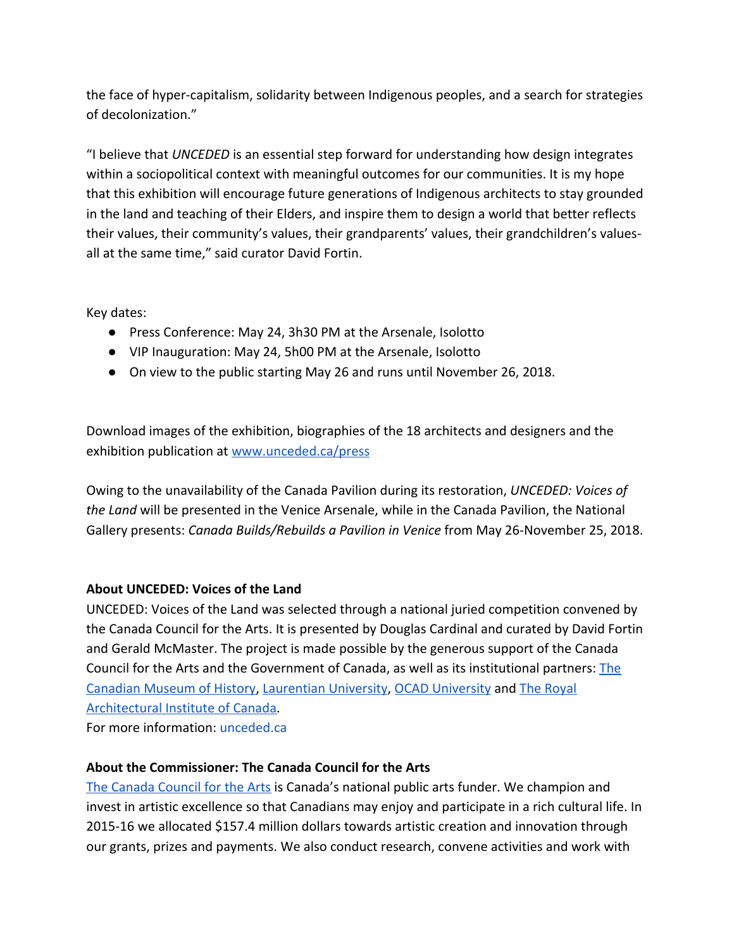the face of hyper-capitalism, solidarity between Indigenous peoples, and a search for strategies of decolonization."

"I believe that *UNCEDED* is an essential step forward for understanding how design integrates within a sociopolitical context with meaningful outcomes for our communities. It is my hope that this exhibition will encourage future generations of Indigenous architects to stay grounded in the land and teaching of their Elders, and inspire them to design a world that better reflects their values, their community's values, their grandparents' values, their grandchildren's valuesall at the same time," said curator David Fortin.

Key dates:

- Press Conference: May 24, 3h30 PM at the Arsenale, Isolotto
- VIP Inauguration: May 24, 5h00 PM at the Arsenale, Isolotto
- On view to the public starting May 26 and runs until November 26, 2018.

Download images of the exhibition, biographies of the 18 architects and designers and the exhibition publication at [www.unceded.ca/press](http://www.unceded.ca/press)

Owing to the unavailability of the Canada Pavilion during its restoration, *UNCEDED: Voices of the Land* will be presented in the Venice Arsenale, while in the Canada Pavilion, the National Gallery presents: *Canada Builds/Rebuilds a Pavilion in Venice* from May 26-November 25, 2018.

## **About UNCEDED: Voices of the Land**

UNCEDED: Voices of the Land was selected through a national juried competition convened by the Canada Council for the Arts. It is presented by Douglas Cardinal and curated by David Fortin and Gerald McMaster. The project is made possible by the generous support of the Canada Council for the Arts and the Government of Canada, as well as its institutional partners: [The](https://www.historymuseum.ca/) [Canadian Museum of History,](https://www.historymuseum.ca/) [Laurentian University](https://laurentian.ca/), [OCAD University](https://www.ocadu.ca/) and [The Royal](https://www.raic.org/) [Architectural Institute of Canada.](https://www.raic.org/)

For more information: [unceded.ca](https://www.unceded.ca/)

## **About the Commissioner: The Canada Council for the Arts**

[The Canada Council for the Arts](http://canadacouncil.ca/) is Canada's national public arts funder. We champion and invest in artistic excellence so that Canadians may enjoy and participate in a rich cultural life. In 2015-16 we allocated \$157.4 million dollars towards artistic creation and innovation through our grants, prizes and payments. We also conduct research, convene activities and work with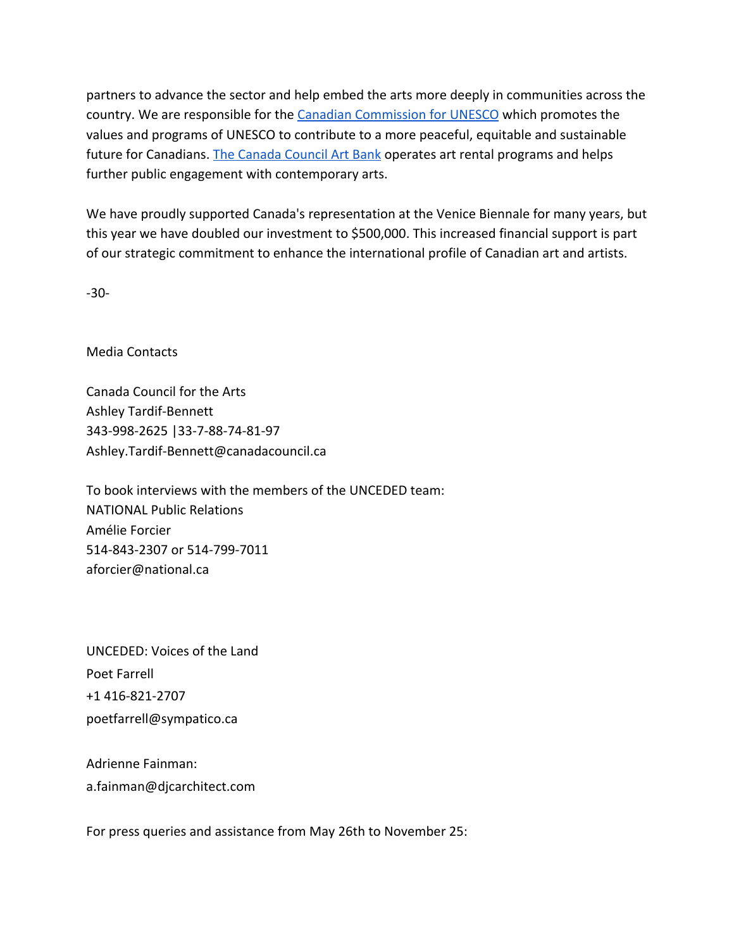partners to advance the sector and help embed the arts more deeply in communities across the country. We are responsible for the [Canadian Commission for UNESCO](http://en.ccunesco.ca/) which promotes the values and programs of UNESCO to contribute to a more peaceful, equitable and sustainable future for Canadians. [The Canada Council Art Bank](https://artbank.ca/) operates art rental programs and helps further public engagement with contemporary arts.

We have proudly supported Canada's representation at the Venice Biennale for many years, but this year we have doubled our investment to \$500,000. This increased financial support is part of our strategic commitment to enhance the international profile of Canadian art and artists.

-30-

Media Contacts

Canada Council for the Arts Ashley Tardif-Bennett 343-998-2625 |33-7-88-74-81-97 Ashley.Tardif-Bennett@canadacouncil.ca

To book interviews with the members of the UNCEDED team: NATIONAL Public Relations Amélie Forcier 514-843-2307 or 514-799-7011 aforcier@national.ca

UNCEDED: Voices of the Land Poet Farrell +1 416-821-2707 poetfarrell@sympatico.ca

Adrienne Fainman: a.fainman@djcarchitect.com

For press queries and assistance from May 26th to November 25: